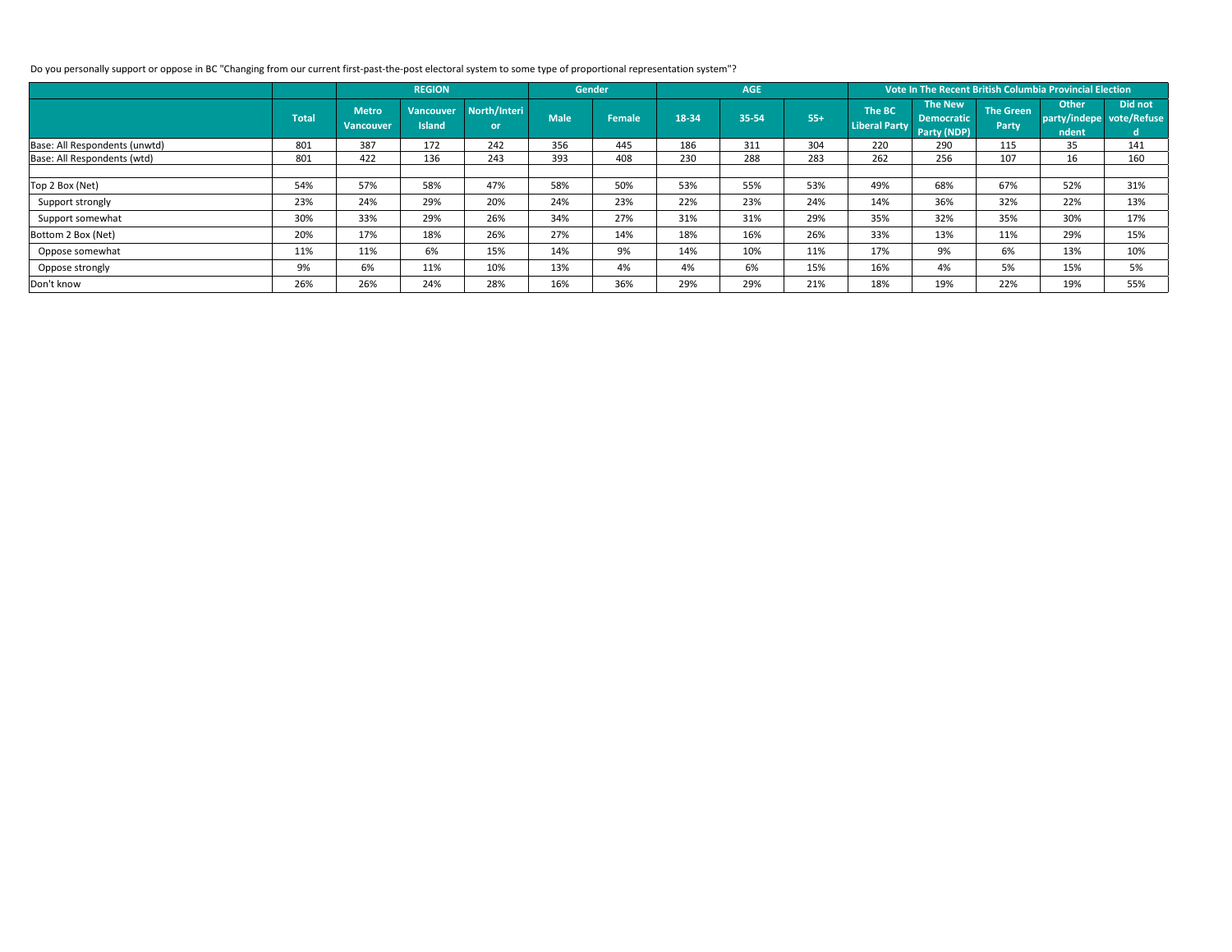|                               |              |                                  | <b>REGION</b>                     |                    |             | <b>Gender</b> |       | <b>AGE</b> |       |                                |                                                    |                                  | Vote In The Recent British Columbia Provincial Election |                                           |  |  |  |  |
|-------------------------------|--------------|----------------------------------|-----------------------------------|--------------------|-------------|---------------|-------|------------|-------|--------------------------------|----------------------------------------------------|----------------------------------|---------------------------------------------------------|-------------------------------------------|--|--|--|--|
|                               | <b>Total</b> | <b>Metro</b><br><b>Vancouver</b> | <b>Vancouver</b><br><b>Island</b> | North/Interi<br>or | <b>Male</b> | <b>Female</b> | 18-34 | 35-54      | $55+$ | The BC<br><b>Liberal Party</b> | <b>The New</b><br><b>Democratic</b><br>Party (NDP) | <b>The Green</b><br><b>Party</b> | <b>Other</b><br>ndent                                   | Did not<br>party/indepe vote/Refuse<br>d. |  |  |  |  |
| Base: All Respondents (unwtd) | 801          | 387                              | 172                               | 242                | 356         | 445           | 186   | 311        | 304   | 220                            | 290                                                | 115                              | 35                                                      | 141                                       |  |  |  |  |
| Base: All Respondents (wtd)   | 801          | 422                              | 136                               | 243                | 393         | 408           | 230   | 288        | 283   | 262                            | 256                                                | 107                              | 16                                                      | 160                                       |  |  |  |  |
|                               |              |                                  |                                   |                    |             |               |       |            |       |                                |                                                    |                                  |                                                         |                                           |  |  |  |  |
| Top 2 Box (Net)               | 54%          | 57%                              | 58%                               | 47%                | 58%         | 50%           | 53%   | 55%        | 53%   | 49%                            | 68%                                                | 67%                              | 52%                                                     | 31%                                       |  |  |  |  |
| Support strongly              | 23%          | 24%                              | 29%                               | 20%                | 24%         | 23%           | 22%   | 23%        | 24%   | 14%                            | 36%                                                | 32%                              | 22%                                                     | 13%                                       |  |  |  |  |
| Support somewhat              | 30%          | 33%                              | 29%                               | 26%                | 34%         | 27%           | 31%   | 31%        | 29%   | 35%                            | 32%                                                | 35%                              | 30%                                                     | 17%                                       |  |  |  |  |
| Bottom 2 Box (Net)            | 20%          | 17%                              | 18%                               | 26%                | 27%         | 14%           | 18%   | 16%        | 26%   | 33%                            | 13%                                                | 11%                              | 29%                                                     | 15%                                       |  |  |  |  |
| Oppose somewhat               | 11%          | 11%                              | 6%                                | 15%                | 14%         | 9%            | 14%   | 10%        | 11%   | 17%                            | 9%                                                 | 6%                               | 13%                                                     | 10%                                       |  |  |  |  |
| Oppose strongly               | 9%           | 6%                               | 11%                               | 10%                | 13%         | 4%            | 4%    | 6%         | 15%   | 16%                            | 4%                                                 | 5%                               | 15%                                                     | 5%                                        |  |  |  |  |
| Don't know                    | 26%          | 26%                              | 24%                               | 28%                | 16%         | 36%           | 29%   | 29%        | 21%   | 18%                            | 19%                                                | 22%                              | 19%                                                     | 55%                                       |  |  |  |  |

Do you personally support or oppose in BC "Changing from our current first-past-the-post electoral system to some type of proportional representation system"?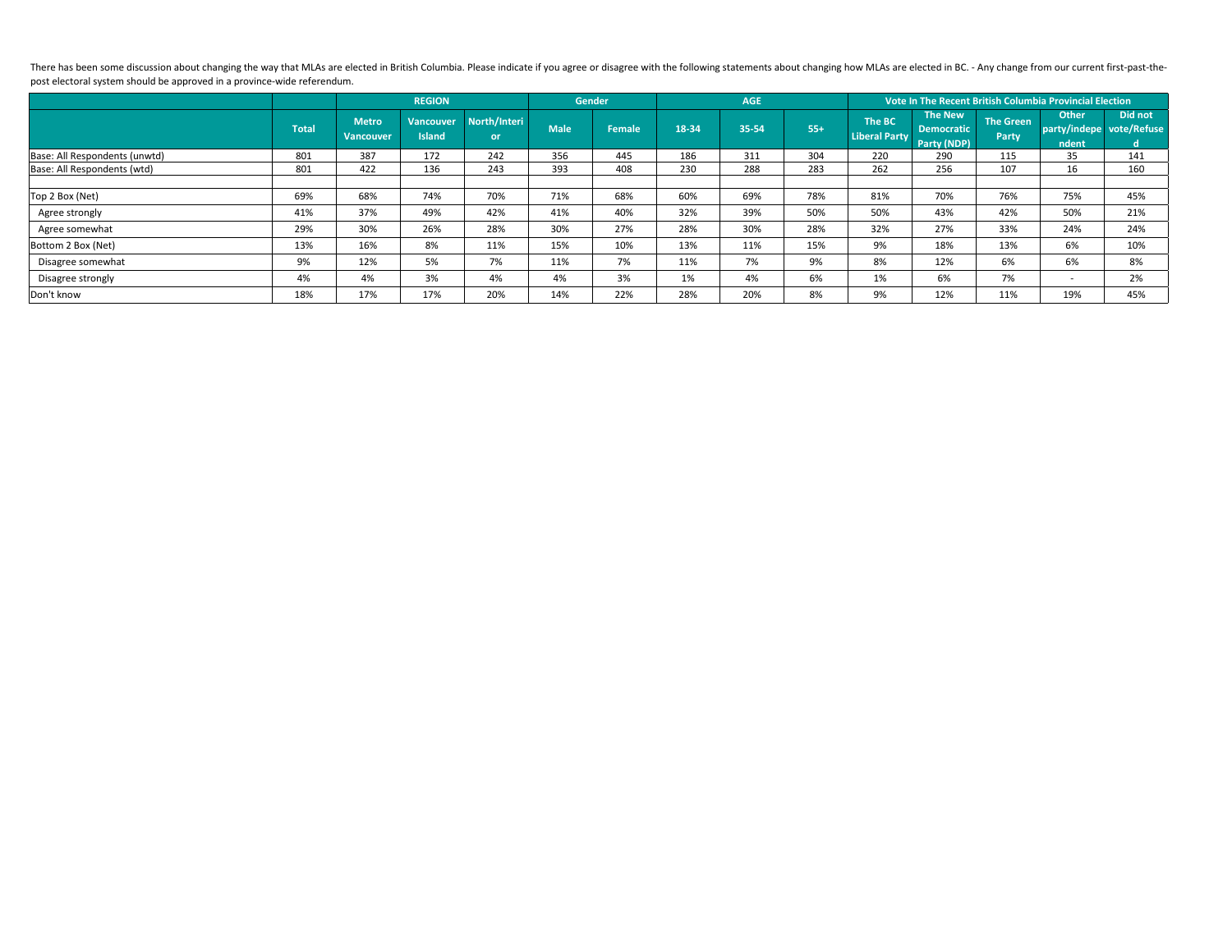There has been some discussion about changing the way that MLAs are elected in British Columbia. Please indicate if you agree or disagree with the following statements about changing how MLAs are elected in BC. - Any chang post electoral system should be approved in a province-wide referendum.

|                               |              |                                  | <b>REGION</b>                     |                      | <b>Gender</b> |               | <b>AGE</b> |       |       | Vote In The Recent British Columbia Provincial Election |                                     |                                  |                                                   |               |  |
|-------------------------------|--------------|----------------------------------|-----------------------------------|----------------------|---------------|---------------|------------|-------|-------|---------------------------------------------------------|-------------------------------------|----------------------------------|---------------------------------------------------|---------------|--|
|                               | <b>Total</b> | <b>Metro</b><br><b>Vancouver</b> | <b>Vancouver</b><br><b>Island</b> | North/Interi<br>or / | <b>Male</b>   | <b>Female</b> | 18-34      | 35-54 | $55+$ | <b>The BC</b><br>Liberal Party Party (NDP)              | <b>The New</b><br><b>Democratic</b> | <b>The Green</b><br><b>Party</b> | <b>Other</b><br>party/indepe vote/Refuse<br>ndent | Did not<br>d. |  |
| Base: All Respondents (unwtd) | 801          | 387                              | 172                               | 242                  | 356           | 445           | 186        | 311   | 304   | 220                                                     | 290                                 | 115                              | 35                                                | 141           |  |
| Base: All Respondents (wtd)   | 801          | 422                              | 136                               | 243                  | 393           | 408           | 230        | 288   | 283   | 262                                                     | 256                                 | 107                              | 16                                                | 160           |  |
|                               |              |                                  |                                   |                      |               |               |            |       |       |                                                         |                                     |                                  |                                                   |               |  |
| Top 2 Box (Net)               | 69%          | 68%                              | 74%                               | 70%                  | 71%           | 68%           | 60%        | 69%   | 78%   | 81%                                                     | 70%                                 | 76%                              | 75%                                               | 45%           |  |
| Agree strongly                | 41%          | 37%                              | 49%                               | 42%                  | 41%           | 40%           | 32%        | 39%   | 50%   | 50%                                                     | 43%                                 | 42%                              | 50%                                               | 21%           |  |
| Agree somewhat                | 29%          | 30%                              | 26%                               | 28%                  | 30%           | 27%           | 28%        | 30%   | 28%   | 32%                                                     | 27%                                 | 33%                              | 24%                                               | 24%           |  |
| Bottom 2 Box (Net)            | 13%          | 16%                              | 8%                                | 11%                  | 15%           | 10%           | 13%        | 11%   | 15%   | 9%                                                      | 18%                                 | 13%                              | 6%                                                | 10%           |  |
| Disagree somewhat             | 9%           | 12%                              | 5%                                | 7%                   | 11%           | 7%            | 11%        | 7%    | 9%    | 8%                                                      | 12%                                 | 6%                               | 6%                                                | 8%            |  |
| Disagree strongly             | 4%           | 4%                               | 3%                                | 4%                   | 4%            | 3%            | 1%         | 4%    | 6%    | 1%                                                      | 6%                                  | 7%                               | $\overline{\phantom{0}}$                          | 2%            |  |
| Don't know                    | 18%          | 17%                              | 17%                               | 20%                  | 14%           | 22%           | 28%        | 20%   | 8%    | 9%                                                      | 12%                                 | 11%                              | 19%                                               | 45%           |  |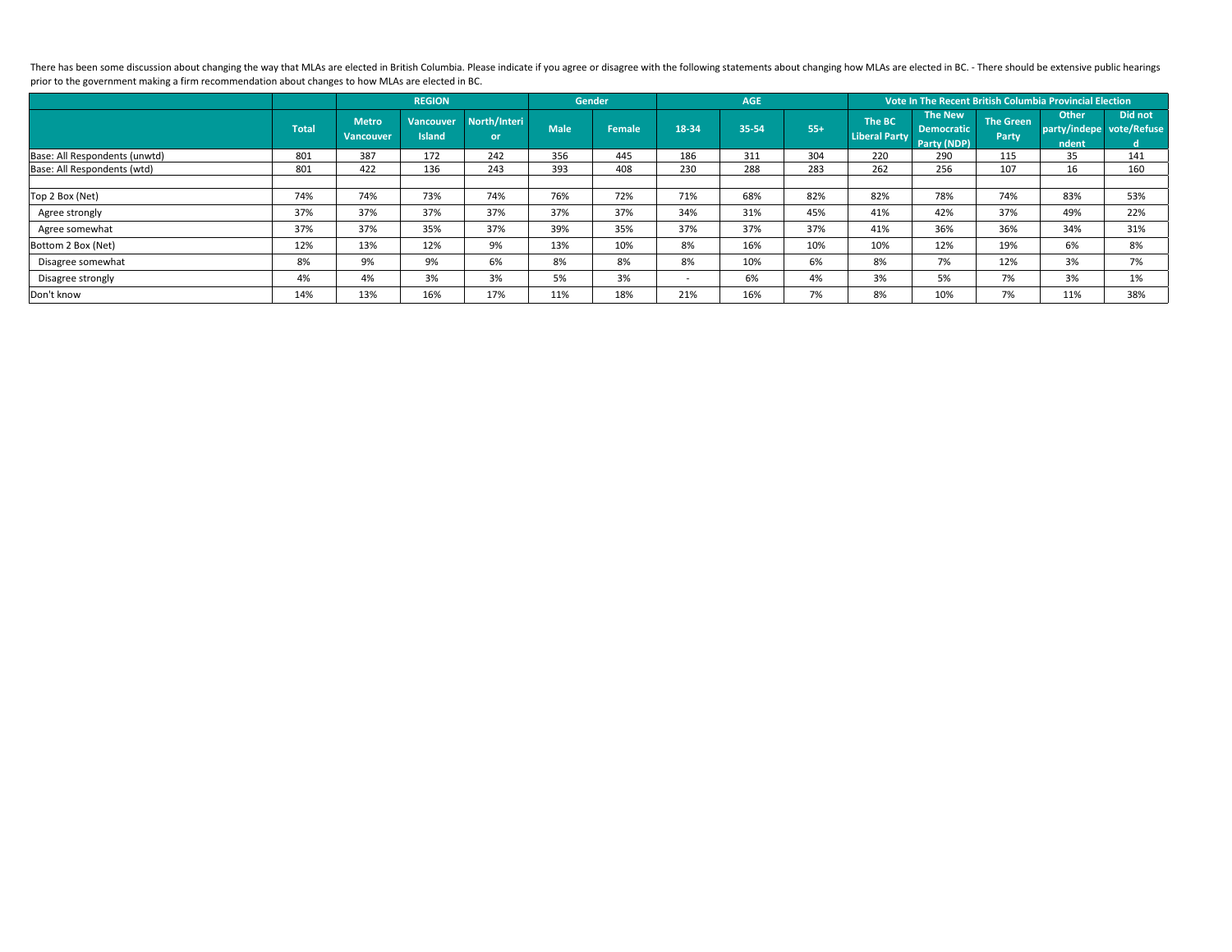There has been some discussion about changing the way that MLAs are elected in British Columbia. Please indicate if you agree or disagree with the following statements about changing how MLAs are elected in BC. - There sho prior to the government making a firm recommendation about changes to how MLAs are elected in BC.

|                               |              |                                  | <b>REGION</b>                     |                           | <b>Gender</b> |               |                          | <b>AGE</b> |       | Vote In The Recent British Columbia Provincial Election |                                     |                                  |                                                   |               |  |
|-------------------------------|--------------|----------------------------------|-----------------------------------|---------------------------|---------------|---------------|--------------------------|------------|-------|---------------------------------------------------------|-------------------------------------|----------------------------------|---------------------------------------------------|---------------|--|
|                               | <b>Total</b> | <b>Metro</b><br><b>Vancouver</b> | <b>Vancouver</b><br><b>Island</b> | North/Interi<br><b>or</b> | <b>Male</b>   | <b>Female</b> | 18-34                    | 35-54      | $55+$ | <b>The BC</b><br>Liberal Party Party (NDP)              | <b>The New</b><br><b>Democratic</b> | <b>The Green</b><br><b>Party</b> | <b>Other</b><br>party/indepe vote/Refuse<br>ndent | Did not<br>d. |  |
| Base: All Respondents (unwtd) | 801          | 387                              | 172                               | 242                       | 356           | 445           | 186                      | 311        | 304   | 220                                                     | 290                                 | 115                              | 35                                                | 141           |  |
| Base: All Respondents (wtd)   | 801          | 422                              | 136                               | 243                       | 393           | 408           | 230                      | 288        | 283   | 262                                                     | 256                                 | 107                              | 16                                                | 160           |  |
|                               |              |                                  |                                   |                           |               |               |                          |            |       |                                                         |                                     |                                  |                                                   |               |  |
| Top 2 Box (Net)               | 74%          | 74%                              | 73%                               | 74%                       | 76%           | 72%           | 71%                      | 68%        | 82%   | 82%                                                     | 78%                                 | 74%                              | 83%                                               | 53%           |  |
| Agree strongly                | 37%          | 37%                              | 37%                               | 37%                       | 37%           | 37%           | 34%                      | 31%        | 45%   | 41%                                                     | 42%                                 | 37%                              | 49%                                               | 22%           |  |
| Agree somewhat                | 37%          | 37%                              | 35%                               | 37%                       | 39%           | 35%           | 37%                      | 37%        | 37%   | 41%                                                     | 36%                                 | 36%                              | 34%                                               | 31%           |  |
| Bottom 2 Box (Net)            | 12%          | 13%                              | 12%                               | 9%                        | 13%           | 10%           | 8%                       | 16%        | 10%   | 10%                                                     | 12%                                 | 19%                              | 6%                                                | 8%            |  |
| Disagree somewhat             | 8%           | 9%                               | 9%                                | 6%                        | 8%            | 8%            | 8%                       | 10%        | 6%    | 8%                                                      | 7%                                  | 12%                              | 3%                                                | 7%            |  |
| Disagree strongly             | 4%           | 4%                               | 3%                                | 3%                        | 5%            | 3%            | $\overline{\phantom{0}}$ | 6%         | 4%    | 3%                                                      | 5%                                  | 7%                               | 3%                                                | 1%            |  |
| Don't know                    | 14%          | 13%                              | 16%                               | 17%                       | 11%           | 18%           | 21%                      | 16%        | 7%    | 8%                                                      | 10%                                 | 7%                               | 11%                                               | 38%           |  |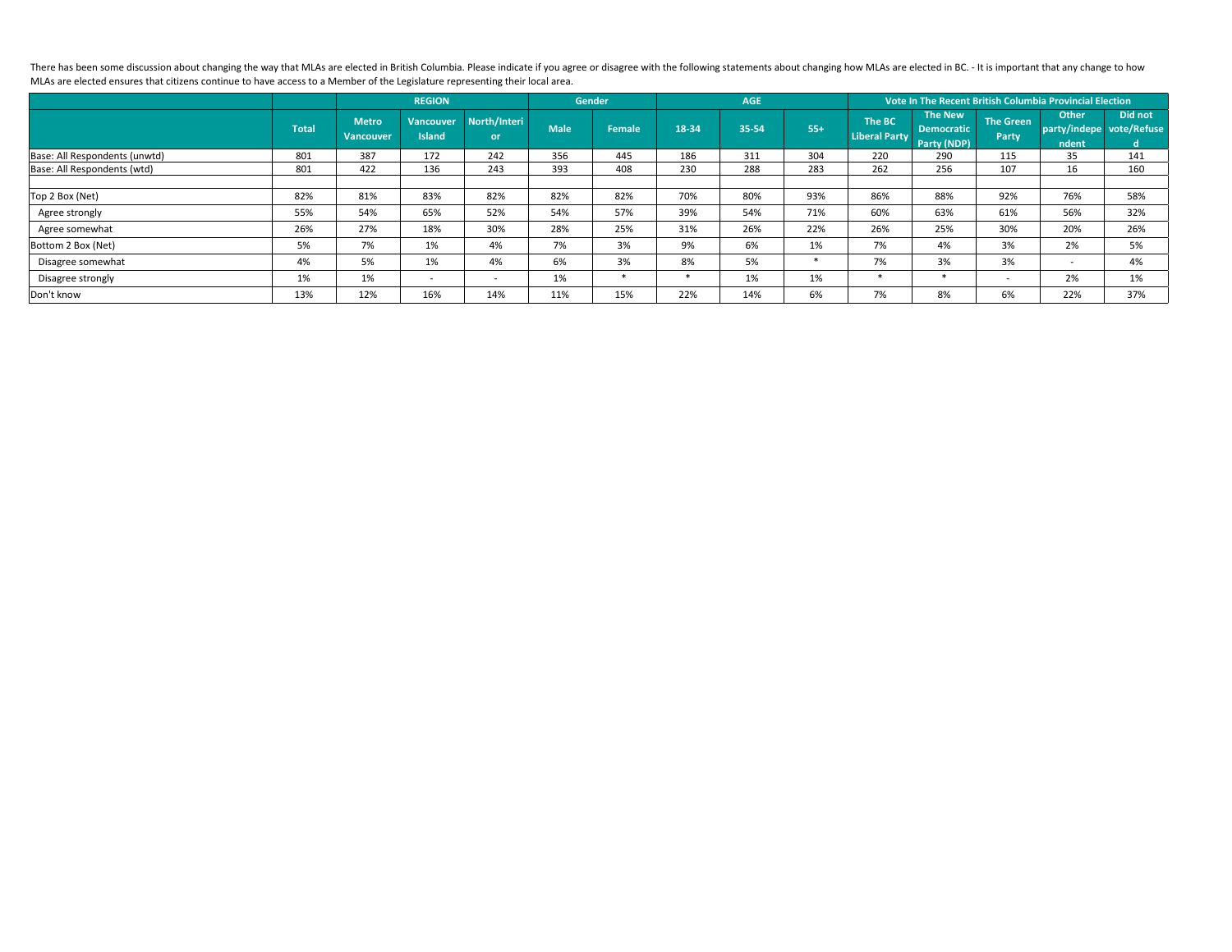There has been some discussion about changing the way that MLAs are elected in British Columbia. Please indicate if you agree or disagree with the following statements about changing how MLAs are elected in BC. - It is imp MLAs are elected ensures that citizens continue to have access to a Member of the Legislature representing their local area.

|                               |              |                                  | <b>REGION</b>                     |                           | <b>Gender</b> |               |        | <b>AGE</b> |       | Vote In The Recent British Columbia Provincial Election |                                                    |                                  |                                                   |               |  |
|-------------------------------|--------------|----------------------------------|-----------------------------------|---------------------------|---------------|---------------|--------|------------|-------|---------------------------------------------------------|----------------------------------------------------|----------------------------------|---------------------------------------------------|---------------|--|
|                               | <b>Total</b> | <b>Metro</b><br><b>Vancouver</b> | <b>Vancouver</b><br><b>Island</b> | North/Interi<br><b>or</b> | <b>Male</b>   | <b>Female</b> | 18-34  | 35-54      | $55+$ | The BC<br><b>Liberal Party</b>                          | <b>The New</b><br><b>Democratic</b><br>Party (NDP) | <b>The Green</b><br><b>Party</b> | <b>Other</b><br>party/indepe vote/Refuse<br>ndent | Did not<br>d. |  |
| Base: All Respondents (unwtd) | 801          | 387                              | 172                               | 242                       | 356           | 445           | 186    | 311        | 304   | 220                                                     | 290                                                | 115                              | 35                                                | 141           |  |
| Base: All Respondents (wtd)   | 801          | 422                              | 136                               | 243                       | 393           | 408           | 230    | 288        | 283   | 262                                                     | 256                                                | 107                              | 16                                                | 160           |  |
|                               |              |                                  |                                   |                           |               |               |        |            |       |                                                         |                                                    |                                  |                                                   |               |  |
| Top 2 Box (Net)               | 82%          | 81%                              | 83%                               | 82%                       | 82%           | 82%           | 70%    | 80%        | 93%   | 86%                                                     | 88%                                                | 92%                              | 76%                                               | 58%           |  |
| Agree strongly                | 55%          | 54%                              | 65%                               | 52%                       | 54%           | 57%           | 39%    | 54%        | 71%   | 60%                                                     | 63%                                                | 61%                              | 56%                                               | 32%           |  |
| Agree somewhat                | 26%          | 27%                              | 18%                               | 30%                       | 28%           | 25%           | 31%    | 26%        | 22%   | 26%                                                     | 25%                                                | 30%                              | 20%                                               | 26%           |  |
| Bottom 2 Box (Net)            | 5%           | 7%                               | 1%                                | 4%                        | 7%            | 3%            | 9%     | 6%         | 1%    | 7%                                                      | 4%                                                 | 3%                               | 2%                                                | 5%            |  |
| Disagree somewhat             | 4%           | 5%                               | 1%                                | 4%                        | 6%            | 3%            | 8%     | 5%         |       | 7%                                                      | 3%                                                 | 3%                               | $\overline{\phantom{a}}$                          | 4%            |  |
| Disagree strongly             | 1%           | 1%                               | $\overline{\phantom{0}}$          | $\overline{\phantom{a}}$  | 1%            | *             | $\ast$ | 1%         | 1%    | *                                                       |                                                    | $\overline{\phantom{0}}$         | 2%                                                | 1%            |  |
| Don't know                    | 13%          | 12%                              | 16%                               | 14%                       | 11%           | 15%           | 22%    | 14%        | 6%    | 7%                                                      | 8%                                                 | 6%                               | 22%                                               | 37%           |  |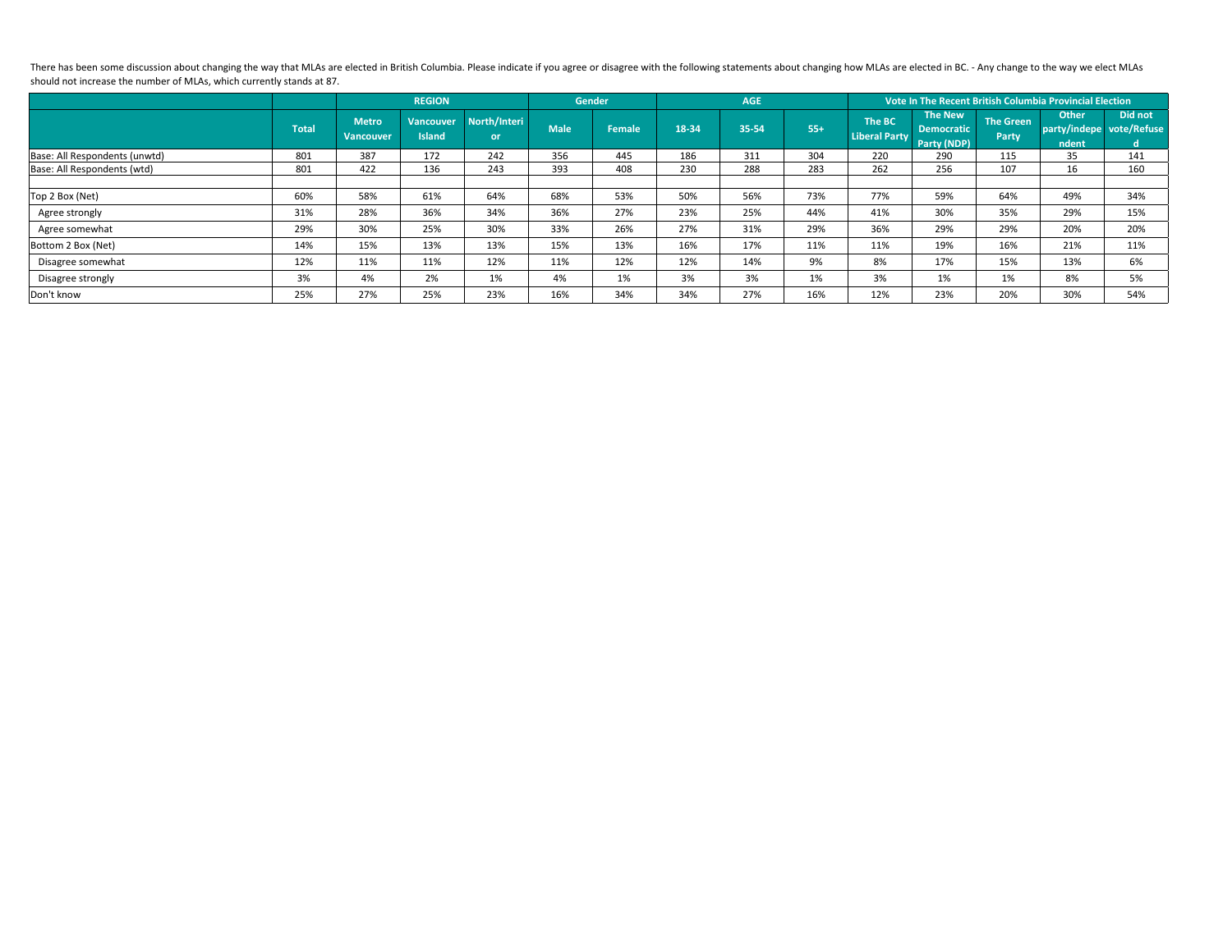There has been some discussion about changing the way that MLAs are elected in British Columbia. Please indicate if you agree or disagree with the following statements about changing how MLAs are elected in BC. - Any chang should not increase the number of MLAs, which currently stands at 87.

|                               |              |                                  | <b>REGION</b>                     |                           | <b>Gender</b> |               | <b>AGE</b> |       |       | Vote In The Recent British Columbia Provincial Election |                                     |                                  |                                                   |                      |  |
|-------------------------------|--------------|----------------------------------|-----------------------------------|---------------------------|---------------|---------------|------------|-------|-------|---------------------------------------------------------|-------------------------------------|----------------------------------|---------------------------------------------------|----------------------|--|
|                               | <b>Total</b> | <b>Metro</b><br><b>Vancouver</b> | <b>Vancouver</b><br><b>Island</b> | North/Interi<br><b>or</b> | <b>Male</b>   | <b>Female</b> | 18-34      | 35-54 | $55+$ | The BC<br>Liberal Party Party (NDP)                     | <b>The New</b><br><b>Democratic</b> | <b>The Green</b><br><b>Party</b> | <b>Other</b><br>party/indepe vote/Refuse<br>ndent | <b>Did not</b><br>d. |  |
| Base: All Respondents (unwtd) | 801          | 387                              | 172                               | 242                       | 356           | 445           | 186        | 311   | 304   | 220                                                     | 290                                 | 115                              | 35                                                | 141                  |  |
| Base: All Respondents (wtd)   | 801          | 422                              | 136                               | 243                       | 393           | 408           | 230        | 288   | 283   | 262                                                     | 256                                 | 107                              | 16                                                | 160                  |  |
|                               |              |                                  |                                   |                           |               |               |            |       |       |                                                         |                                     |                                  |                                                   |                      |  |
| Top 2 Box (Net)               | 60%          | 58%                              | 61%                               | 64%                       | 68%           | 53%           | 50%        | 56%   | 73%   | 77%                                                     | 59%                                 | 64%                              | 49%                                               | 34%                  |  |
| Agree strongly                | 31%          | 28%                              | 36%                               | 34%                       | 36%           | 27%           | 23%        | 25%   | 44%   | 41%                                                     | 30%                                 | 35%                              | 29%                                               | 15%                  |  |
| Agree somewhat                | 29%          | 30%                              | 25%                               | 30%                       | 33%           | 26%           | 27%        | 31%   | 29%   | 36%                                                     | 29%                                 | 29%                              | 20%                                               | 20%                  |  |
| Bottom 2 Box (Net)            | 14%          | 15%                              | 13%                               | 13%                       | 15%           | 13%           | 16%        | 17%   | 11%   | 11%                                                     | 19%                                 | 16%                              | 21%                                               | 11%                  |  |
| Disagree somewhat             | 12%          | 11%                              | 11%                               | 12%                       | 11%           | 12%           | 12%        | 14%   | 9%    | 8%                                                      | 17%                                 | 15%                              | 13%                                               | 6%                   |  |
| Disagree strongly             | 3%           | 4%                               | 2%                                | 1%                        | 4%            | 1%            | 3%         | 3%    | 1%    | 3%                                                      | 1%                                  | 1%                               | 8%                                                | 5%                   |  |
| Don't know                    | 25%          | 27%                              | 25%                               | 23%                       | 16%           | 34%           | 34%        | 27%   | 16%   | 12%                                                     | 23%                                 | 20%                              | 30%                                               | 54%                  |  |